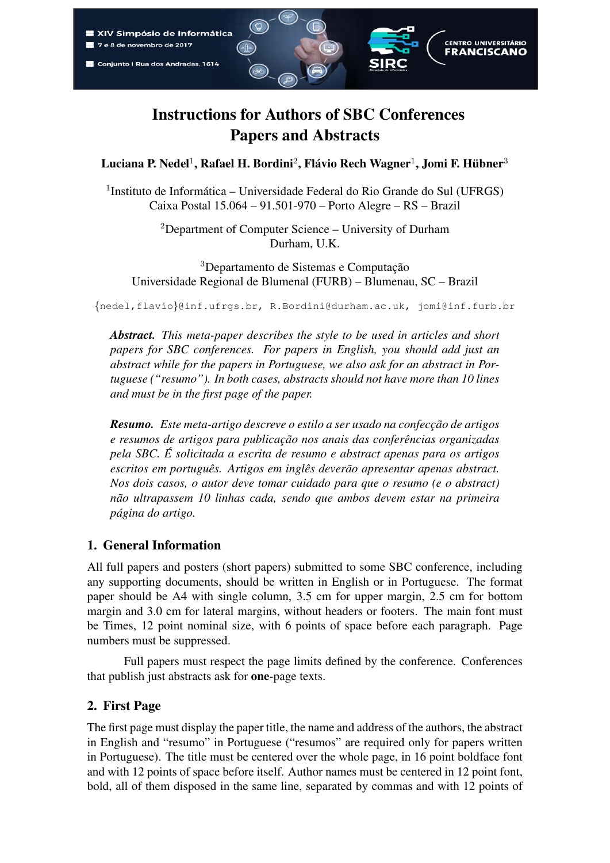

# Instructions for Authors of SBC Conferences Papers and Abstracts

Luciana P. Nedel $^1$ , Rafael H. Bordini $^2$ , Flávio Rech Wagner $^1$ , Jomi F. Hübner $^3$ 

<sup>1</sup>Instituto de Informática – Universidade Federal do Rio Grande do Sul (UFRGS) Caixa Postal 15.064 – 91.501-970 – Porto Alegre – RS – Brazil

> <sup>2</sup>Department of Computer Science – University of Durham Durham, U.K.

<sup>3</sup>Departamento de Sistemas e Computação Universidade Regional de Blumenal (FURB) – Blumenau, SC – Brazil

{nedel,flavio}@inf.ufrgs.br, R.Bordini@durham.ac.uk, jomi@inf.furb.br

*Abstract. This meta-paper describes the style to be used in articles and short papers for SBC conferences. For papers in English, you should add just an abstract while for the papers in Portuguese, we also ask for an abstract in Portuguese ("resumo"). In both cases, abstracts should not have more than 10 lines and must be in the first page of the paper.*

*Resumo. Este meta-artigo descreve o estilo a ser usado na confecc¸ao de artigos ˜ e resumos de artigos para publicac¸ao nos anais das confer ˜ encias organizadas ˆ pela SBC. E solicitada a escrita de resumo e abstract apenas para os artigos ´ escritos em português. Artigos em inglês deverão apresentar apenas abstract. Nos dois casos, o autor deve tomar cuidado para que o resumo (e o abstract) nao ultrapassem 10 linhas cada, sendo que ambos devem estar na primeira ˜ pagina do artigo. ´*

# 1. General Information

All full papers and posters (short papers) submitted to some SBC conference, including any supporting documents, should be written in English or in Portuguese. The format paper should be A4 with single column, 3.5 cm for upper margin, 2.5 cm for bottom margin and 3.0 cm for lateral margins, without headers or footers. The main font must be Times, 12 point nominal size, with 6 points of space before each paragraph. Page numbers must be suppressed.

Full papers must respect the page limits defined by the conference. Conferences that publish just abstracts ask for one-page texts.

# 2. First Page

The first page must display the paper title, the name and address of the authors, the abstract in English and "resumo" in Portuguese ("resumos" are required only for papers written in Portuguese). The title must be centered over the whole page, in 16 point boldface font and with 12 points of space before itself. Author names must be centered in 12 point font, bold, all of them disposed in the same line, separated by commas and with 12 points of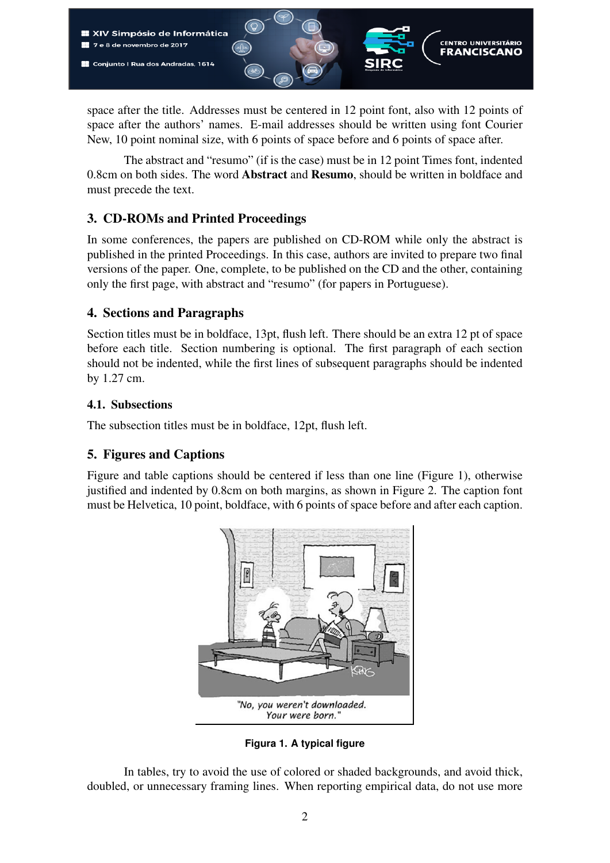

space after the title. Addresses must be centered in 12 point font, also with 12 points of space after the authors' names. E-mail addresses should be written using font Courier New, 10 point nominal size, with 6 points of space before and 6 points of space after.

The abstract and "resumo" (if is the case) must be in 12 point Times font, indented 0.8cm on both sides. The word Abstract and Resumo, should be written in boldface and must precede the text.

# 3. CD-ROMs and Printed Proceedings

In some conferences, the papers are published on CD-ROM while only the abstract is published in the printed Proceedings. In this case, authors are invited to prepare two final versions of the paper. One, complete, to be published on the CD and the other, containing only the first page, with abstract and "resumo" (for papers in Portuguese).

#### 4. Sections and Paragraphs

Section titles must be in boldface, 13pt, flush left. There should be an extra 12 pt of space before each title. Section numbering is optional. The first paragraph of each section should not be indented, while the first lines of subsequent paragraphs should be indented by 1.27 cm.

#### 4.1. Subsections

The subsection titles must be in boldface, 12pt, flush left.

# 5. Figures and Captions

Figure and table captions should be centered if less than one line (Figure 1), otherwise justified and indented by 0.8cm on both margins, as shown in Figure 2. The caption font must be Helvetica, 10 point, boldface, with 6 points of space before and after each caption.



**Figura 1. A typical figure**

In tables, try to avoid the use of colored or shaded backgrounds, and avoid thick, doubled, or unnecessary framing lines. When reporting empirical data, do not use more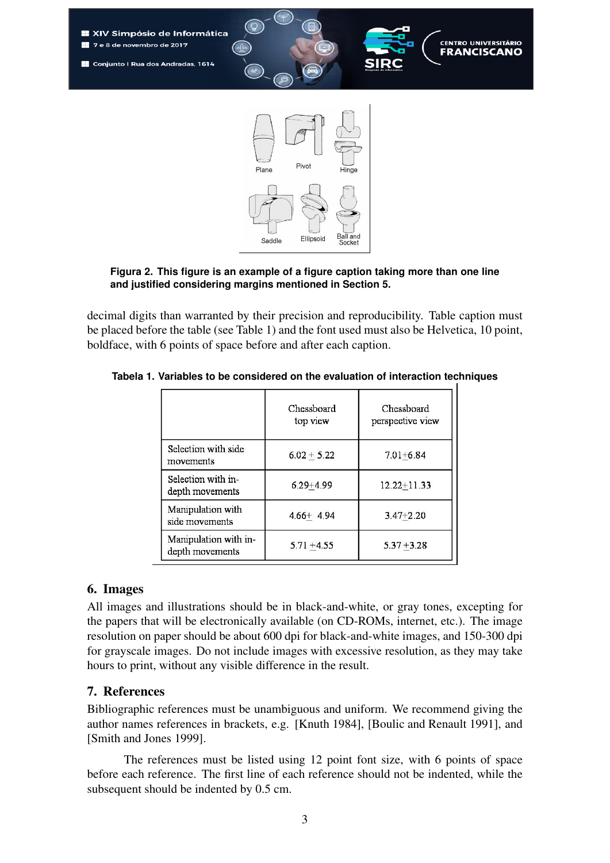

#### **Figura 2. This figure is an example of a figure caption taking more than one line and justified considering margins mentioned in Section 5.**

decimal digits than warranted by their precision and reproducibility. Table caption must be placed before the table (see Table 1) and the font used must also be Helvetica, 10 point, boldface, with 6 points of space before and after each caption.

|                                          | Chessboard<br>top view | Chessboard<br>perspective view |
|------------------------------------------|------------------------|--------------------------------|
| Selection with side<br>movements         | $6.02 + 5.22$          | $7.01 + 6.84$                  |
| Selection with in-<br>depth movements    | $6.29 + 4.99$          | $12.22 + 11.33$                |
| Manipulation with<br>side movements      | $4.66 + 4.94$          | $3.47 + 2.20$                  |
| Manipulation with in-<br>depth movements | $5.71 + 4.55$          | $5.37 + 3.28$                  |

**Tabela 1. Variables to be considered on the evaluation of interaction techniques**

#### 6. Images

All images and illustrations should be in black-and-white, or gray tones, excepting for the papers that will be electronically available (on CD-ROMs, internet, etc.). The image resolution on paper should be about 600 dpi for black-and-white images, and 150-300 dpi for grayscale images. Do not include images with excessive resolution, as they may take hours to print, without any visible difference in the result.

#### 7. References

Bibliographic references must be unambiguous and uniform. We recommend giving the author names references in brackets, e.g. [Knuth 1984], [Boulic and Renault 1991], and [Smith and Jones 1999].

The references must be listed using 12 point font size, with 6 points of space before each reference. The first line of each reference should not be indented, while the subsequent should be indented by 0.5 cm.